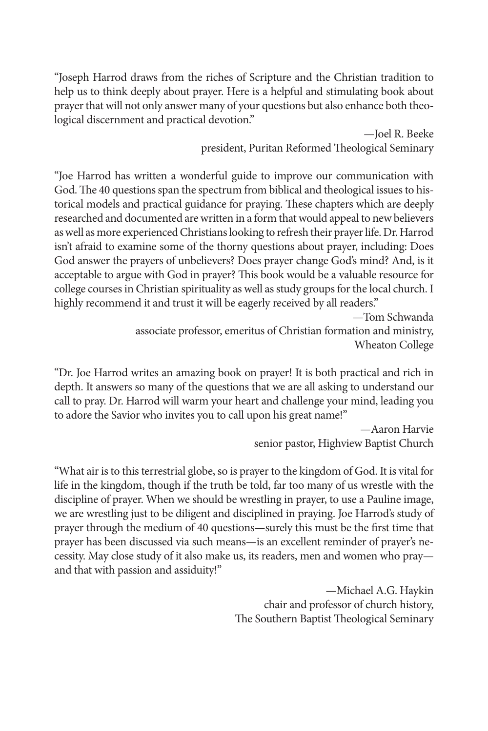"Joseph Harrod draws from the riches of Scripture and the Christian tradition to help us to think deeply about prayer. Here is a helpful and stimulating book about prayer that will not only answer many of your questions but also enhance both theological discernment and practical devotion."

> —Joel R. Beeke president, Puritan Reformed Theological Seminary

"Joe Harrod has written a wonderful guide to improve our communication with God. The 40 questions span the spectrum from biblical and theological issues to historical models and practical guidance for praying. These chapters which are deeply researched and documented are written in a form that would appeal to new believers as well as more experienced Christians looking to refresh their prayer life. Dr. Harrod isn't afraid to examine some of the thorny questions about prayer, including: Does God answer the prayers of unbelievers? Does prayer change God's mind? And, is it acceptable to argue with God in prayer? This book would be a valuable resource for college courses in Christian spirituality as well as study groups for the local church. I highly recommend it and trust it will be eagerly received by all readers."

—Tom Schwanda associate professor, emeritus of Christian formation and ministry, Wheaton College

"Dr. Joe Harrod writes an amazing book on prayer! It is both practical and rich in depth. It answers so many of the questions that we are all asking to understand our call to pray. Dr. Harrod will warm your heart and challenge your mind, leading you to adore the Savior who invites you to call upon his great name!"

> —Aaron Harvie senior pastor, Highview Baptist Church

"What air is to this terrestrial globe, so is prayer to the kingdom of God. It is vital for life in the kingdom, though if the truth be told, far too many of us wrestle with the discipline of prayer. When we should be wrestling in prayer, to use a Pauline image, we are wrestling just to be diligent and disciplined in praying. Joe Harrod's study of prayer through the medium of 40 questions—surely this must be the first time that prayer has been discussed via such means—is an excellent reminder of prayer's necessity. May close study of it also make us, its readers, men and women who pray and that with passion and assiduity!"

> —Michael A.G. Haykin chair and professor of church history, The Southern Baptist Theological Seminary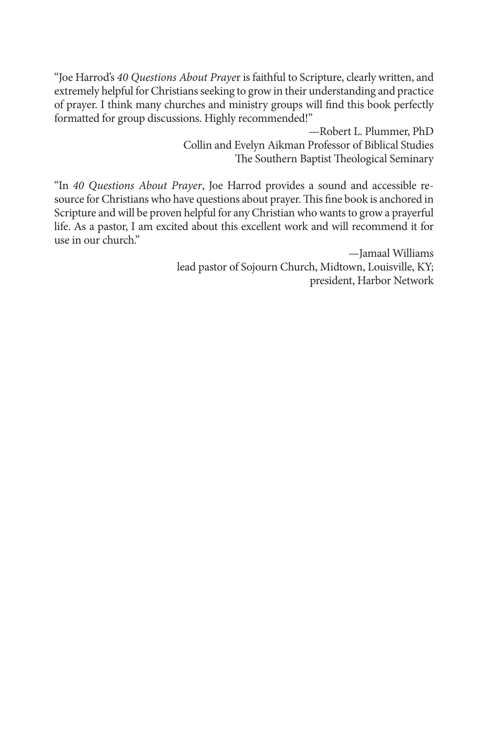"Joe Harrod's *40 Questions About Praye*r is faithful to Scripture, clearly written, and extremely helpful for Christians seeking to grow in their understanding and practice of prayer. I think many churches and ministry groups will find this book perfectly formatted for group discussions. Highly recommended!"

> —Robert L. Plummer, PhD Collin and Evelyn Aikman Professor of Biblical Studies The Southern Baptist Theological Seminary

"In *40 Questions About Prayer*, Joe Harrod provides a sound and accessible resource for Christians who have questions about prayer. This fine book is anchored in Scripture and will be proven helpful for any Christian who wants to grow a prayerful life. As a pastor, I am excited about this excellent work and will recommend it for use in our church."

> —Jamaal Williams lead pastor of Sojourn Church, Midtown, Louisville, KY; president, Harbor Network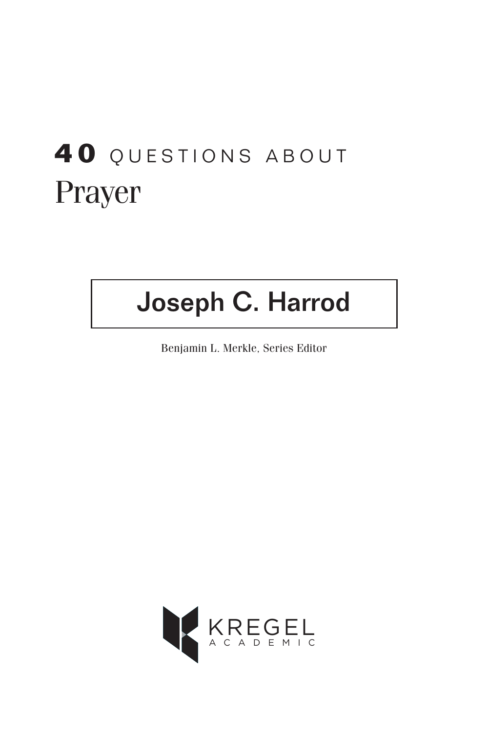# **40** QUESTIONS ABOUT Prayer

# Joseph C. Harrod

Benjamin L. Merkle, Series Editor

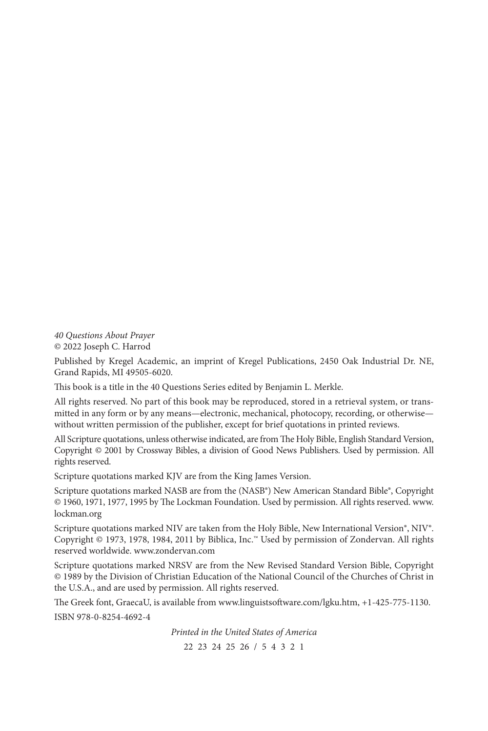*40 Questions About Prayer* © 2022 Joseph C. Harrod

Published by Kregel Academic, an imprint of Kregel Publications, 2450 Oak Industrial Dr. NE, Grand Rapids, MI 49505-6020.

This book is a title in the 40 Questions Series edited by Benjamin L. Merkle.

All rights reserved. No part of this book may be reproduced, stored in a retrieval system, or transmitted in any form or by any means—electronic, mechanical, photocopy, recording, or otherwise without written permission of the publisher, except for brief quotations in printed reviews.

All Scripture quotations, unless otherwise indicated, are from The Holy Bible, English Standard Version, Copyright © 2001 by Crossway Bibles, a division of Good News Publishers. Used by permission. All rights reserved.

Scripture quotations marked KJV are from the King James Version.

Scripture quotations marked NASB are from the (NASB®) New American Standard Bible®, Copyright © 1960, 1971, 1977, 1995 by The Lockman Foundation. Used by permission. All rights reserved. www. lockman.org

Scripture quotations marked NIV are taken from the Holy Bible, New International Version®, NIV®. Copyright © 1973, 1978, 1984, 2011 by Biblica, Inc.™ Used by permission of Zondervan. All rights reserved worldwide. www.zondervan.com

Scripture quotations marked NRSV are from the New Revised Standard Version Bible, Copyright © 1989 by the Division of Christian Education of the National Council of the Churches of Christ in the U.S.A., and are used by permission. All rights reserved.

The Greek font, GraecaU, is available from www.linguistsoftware.com/lgku.htm, +1-425-775-1130. ISBN 978-0-8254-4692-4

> *Printed in the United States of America* 22 23 24 25 26 / 5 4 3 2 1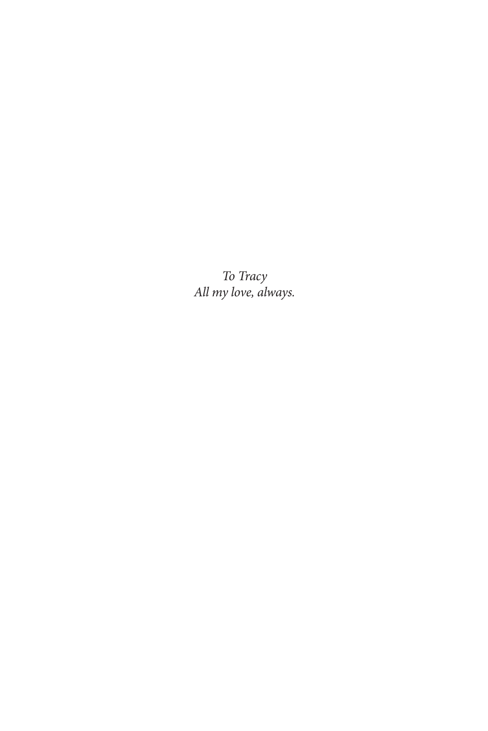*To Tracy All my love, always.*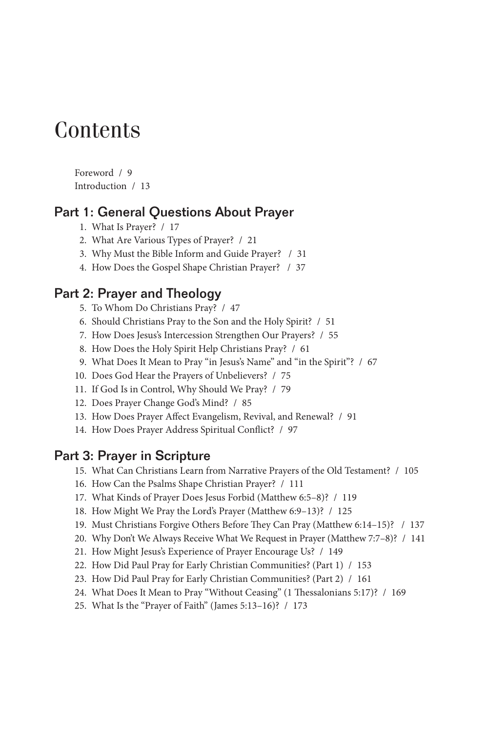## Contents

Foreword / 9 Introduction / 13

#### Part 1: General Questions About Prayer

- 1. What Is Prayer? / 17
- 2. What Are Various Types of Prayer? / 21
- 3. Why Must the Bible Inform and Guide Prayer? / 31
- 4. How Does the Gospel Shape Christian Prayer? / 37

#### Part 2: Prayer and Theology

- 5. To Whom Do Christians Pray? / 47
- 6. Should Christians Pray to the Son and the Holy Spirit? / 51
- 7. How Does Jesus's Intercession Strengthen Our Prayers? / 55
- 8. How Does the Holy Spirit Help Christians Pray? / 61
- 9. What Does It Mean to Pray "in Jesus's Name" and "in the Spirit"? / 67
- 10. Does God Hear the Prayers of Unbelievers? / 75
- 11. If God Is in Control, Why Should We Pray? / 79
- 12. Does Prayer Change God's Mind? / 85
- 13. How Does Prayer Affect Evangelism, Revival, and Renewal? / 91
- 14. How Does Prayer Address Spiritual Conflict? / 97

#### Part 3: Prayer in Scripture

- 15. What Can Christians Learn from Narrative Prayers of the Old Testament? / 105
- 16. How Can the Psalms Shape Christian Prayer? / 111
- 17. What Kinds of Prayer Does Jesus Forbid (Matthew 6:5–8)? / 119
- 18. How Might We Pray the Lord's Prayer (Matthew 6:9–13)? / 125
- 19. Must Christians Forgive Others Before They Can Pray (Matthew 6:14–15)? / 137
- 20. Why Don't We Always Receive What We Request in Prayer (Matthew 7:7–8)? / 141
- 21. How Might Jesus's Experience of Prayer Encourage Us? / 149
- 22. How Did Paul Pray for Early Christian Communities? (Part 1) / 153
- 23. How Did Paul Pray for Early Christian Communities? (Part 2) / 161
- 24. What Does It Mean to Pray "Without Ceasing" (1 Thessalonians 5:17)? / 169
- 25. What Is the "Prayer of Faith" (James 5:13–16)? / 173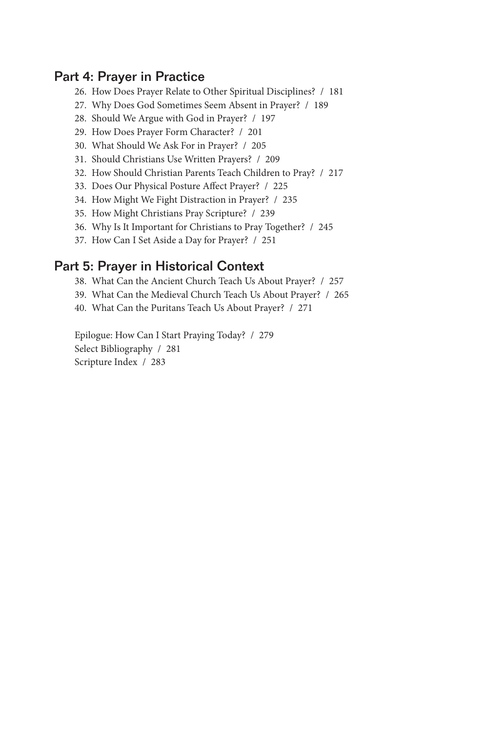#### Part 4: Prayer in Practice

- 26. How Does Prayer Relate to Other Spiritual Disciplines? / 181
- 27. Why Does God Sometimes Seem Absent in Prayer? / 189
- 28. Should We Argue with God in Prayer? / 197
- 29. How Does Prayer Form Character? / 201
- 30. What Should We Ask For in Prayer? / 205
- 31. Should Christians Use Written Prayers? / 209
- 32. How Should Christian Parents Teach Children to Pray? / 217
- 33. Does Our Physical Posture Affect Prayer? / 225
- 34. How Might We Fight Distraction in Prayer? / 235
- 35. How Might Christians Pray Scripture? / 239
- 36. Why Is It Important for Christians to Pray Together? / 245
- 37. How Can I Set Aside a Day for Prayer? / 251

#### Part 5: Prayer in Historical Context

- 38. What Can the Ancient Church Teach Us About Prayer? / 257
- 39. What Can the Medieval Church Teach Us About Prayer? / 265
- 40. What Can the Puritans Teach Us About Prayer? / 271

Epilogue: How Can I Start Praying Today? / 279 Select Bibliography / 281 Scripture Index / 283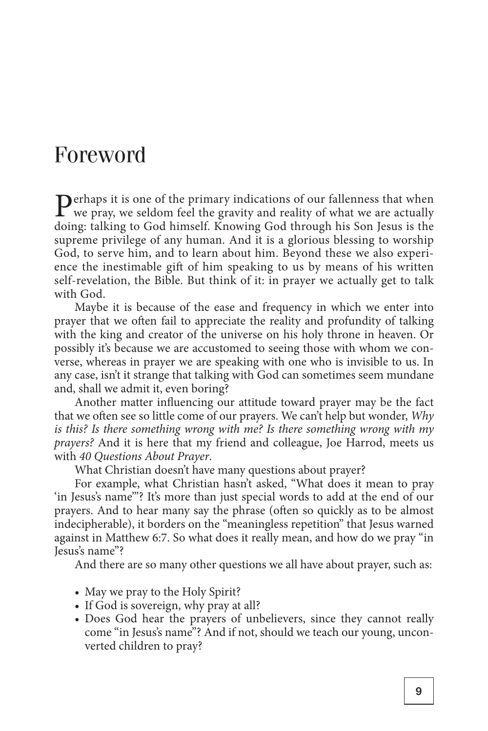## Foreword

 $\sum_{\text{we may we addom}$  fool the primary indications of our fallenness that when we pray, we seldom feel the gravity and reality of what we are actually doing: talking to God himself. Knowing God through his Son Jesus is the supreme privilege of any human. And it is a glorious blessing to worship God, to serve him, and to learn about him. Beyond these we also experience the inestimable gift of him speaking to us by means of his written self-revelation, the Bible. But think of it: in prayer we actually get to talk with God.

Maybe it is because of the ease and frequency in which we enter into prayer that we often fail to appreciate the reality and profundity of talking with the king and creator of the universe on his holy throne in heaven. Or possibly it's because we are accustomed to seeing those with whom we converse, whereas in prayer we are speaking with one who is invisible to us. In any case, isn't it strange that talking with God can sometimes seem mundane and, shall we admit it, even boring?

Another matter influencing our attitude toward prayer may be the fact that we often see so little come of our prayers. We can't help but wonder, *Why is this? Is there something wrong with me? Is there something wrong with my prayers?* And it is here that my friend and colleague, Joe Harrod, meets us with *40 Questions About Prayer*.

What Christian doesn't have many questions about prayer?

For example, what Christian hasn't asked, "What does it mean to pray 'in Jesus's name'"? It's more than just special words to add at the end of our prayers. And to hear many say the phrase (often so quickly as to be almost indecipherable), it borders on the "meaningless repetition" that Jesus warned against in Matthew 6:7. So what does it really mean, and how do we pray "in Jesus's name"?

And there are so many other questions we all have about prayer, such as:

- May we pray to the Holy Spirit?
- If God is sovereign, why pray at all?
- Does God hear the prayers of unbelievers, since they cannot really come "in Jesus's name"? And if not, should we teach our young, unconverted children to pray?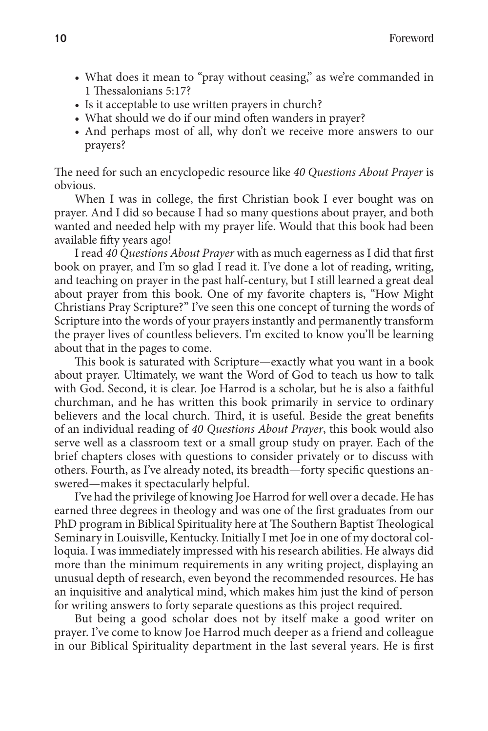- What does it mean to "pray without ceasing," as we're commanded in 1 Thessalonians 5:17?
- Is it acceptable to use written prayers in church?
- What should we do if our mind often wanders in prayer?
- And perhaps most of all, why don't we receive more answers to our prayers?

The need for such an encyclopedic resource like *40 Questions About Prayer* is obvious.

When I was in college, the first Christian book I ever bought was on prayer. And I did so because I had so many questions about prayer, and both wanted and needed help with my prayer life. Would that this book had been available fifty years ago!

I read *40 Questions About Prayer* with as much eagerness as I did that first book on prayer, and I'm so glad I read it. I've done a lot of reading, writing, and teaching on prayer in the past half-century, but I still learned a great deal about prayer from this book. One of my favorite chapters is, "How Might Christians Pray Scripture?" I've seen this one concept of turning the words of Scripture into the words of your prayers instantly and permanently transform the prayer lives of countless believers. I'm excited to know you'll be learning about that in the pages to come.

This book is saturated with Scripture—exactly what you want in a book about prayer. Ultimately, we want the Word of God to teach us how to talk with God. Second, it is clear. Joe Harrod is a scholar, but he is also a faithful churchman, and he has written this book primarily in service to ordinary believers and the local church. Third, it is useful. Beside the great benefits of an individual reading of *40 Questions About Prayer*, this book would also serve well as a classroom text or a small group study on prayer. Each of the brief chapters closes with questions to consider privately or to discuss with others. Fourth, as I've already noted, its breadth—forty specific questions answered—makes it spectacularly helpful.

I've had the privilege of knowing Joe Harrod for well over a decade. He has earned three degrees in theology and was one of the first graduates from our PhD program in Biblical Spirituality here at The Southern Baptist Theological Seminary in Louisville, Kentucky. Initially I met Joe in one of my doctoral colloquia. I was immediately impressed with his research abilities. He always did more than the minimum requirements in any writing project, displaying an unusual depth of research, even beyond the recommended resources. He has an inquisitive and analytical mind, which makes him just the kind of person for writing answers to forty separate questions as this project required.

But being a good scholar does not by itself make a good writer on prayer. I've come to know Joe Harrod much deeper as a friend and colleague in our Biblical Spirituality department in the last several years. He is first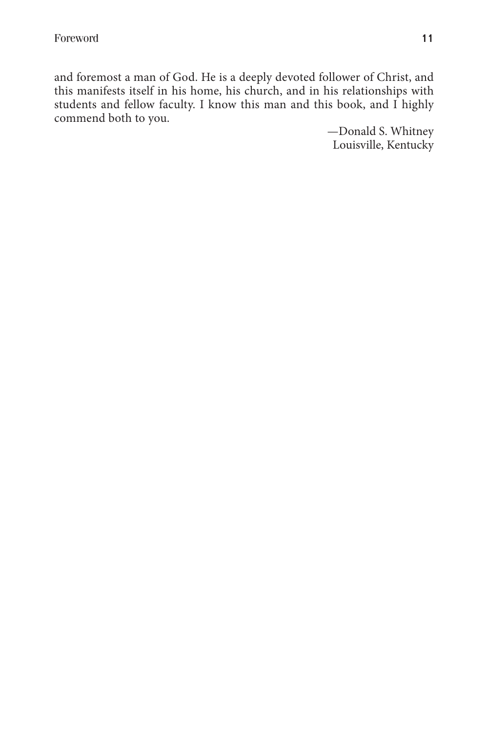and foremost a man of God. He is a deeply devoted follower of Christ, and this manifests itself in his home, his church, and in his relationships with students and fellow faculty. I know this man and this book, and I highly commend both to you.

—Donald S. Whitney Louisville, Kentucky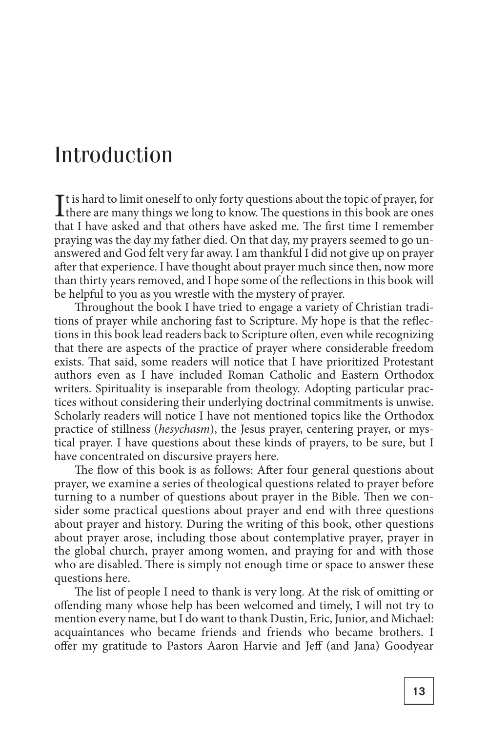## Introduction

It is hard to limit oneself to only forty questions about the topic of prayer, for<br>there are many things we long to know. The questions in this book are ones<br>that I have adopt and that at have have adopt are. The fact time there are many things we long to know. The questions in this book are ones that I have asked and that others have asked me. The first time I remember praying was the day my father died. On that day, my prayers seemed to go unanswered and God felt very far away. I am thankful I did not give up on prayer after that experience. I have thought about prayer much since then, now more than thirty years removed, and I hope some of the reflections in this book will be helpful to you as you wrestle with the mystery of prayer.

Throughout the book I have tried to engage a variety of Christian traditions of prayer while anchoring fast to Scripture. My hope is that the reflections in this book lead readers back to Scripture often, even while recognizing that there are aspects of the practice of prayer where considerable freedom exists. That said, some readers will notice that I have prioritized Protestant authors even as I have included Roman Catholic and Eastern Orthodox writers. Spirituality is inseparable from theology. Adopting particular practices without considering their underlying doctrinal commitments is unwise. Scholarly readers will notice I have not mentioned topics like the Orthodox practice of stillness (*hesychasm*), the Jesus prayer, centering prayer, or mystical prayer. I have questions about these kinds of prayers, to be sure, but I have concentrated on discursive prayers here.

The flow of this book is as follows: After four general questions about prayer, we examine a series of theological questions related to prayer before turning to a number of questions about prayer in the Bible. Then we consider some practical questions about prayer and end with three questions about prayer and history. During the writing of this book, other questions about prayer arose, including those about contemplative prayer, prayer in the global church, prayer among women, and praying for and with those who are disabled. There is simply not enough time or space to answer these questions here.

The list of people I need to thank is very long. At the risk of omitting or offending many whose help has been welcomed and timely, I will not try to mention every name, but I do want to thank Dustin, Eric, Junior, and Michael: acquaintances who became friends and friends who became brothers. I offer my gratitude to Pastors Aaron Harvie and Jeff (and Jana) Goodyear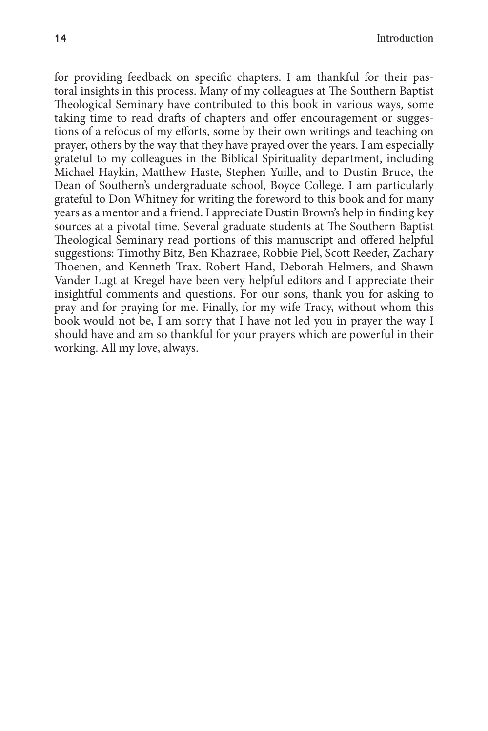for providing feedback on specific chapters. I am thankful for their pastoral insights in this process. Many of my colleagues at The Southern Baptist Theological Seminary have contributed to this book in various ways, some taking time to read drafts of chapters and offer encouragement or suggestions of a refocus of my efforts, some by their own writings and teaching on prayer, others by the way that they have prayed over the years. I am especially grateful to my colleagues in the Biblical Spirituality department, including Michael Haykin, Matthew Haste, Stephen Yuille, and to Dustin Bruce, the Dean of Southern's undergraduate school, Boyce College. I am particularly grateful to Don Whitney for writing the foreword to this book and for many years as a mentor and a friend. I appreciate Dustin Brown's help in finding key sources at a pivotal time. Several graduate students at The Southern Baptist Theological Seminary read portions of this manuscript and offered helpful suggestions: Timothy Bitz, Ben Khazraee, Robbie Piel, Scott Reeder, Zachary Thoenen, and Kenneth Trax. Robert Hand, Deborah Helmers, and Shawn Vander Lugt at Kregel have been very helpful editors and I appreciate their insightful comments and questions. For our sons, thank you for asking to pray and for praying for me. Finally, for my wife Tracy, without whom this book would not be, I am sorry that I have not led you in prayer the way I should have and am so thankful for your prayers which are powerful in their working. All my love, always.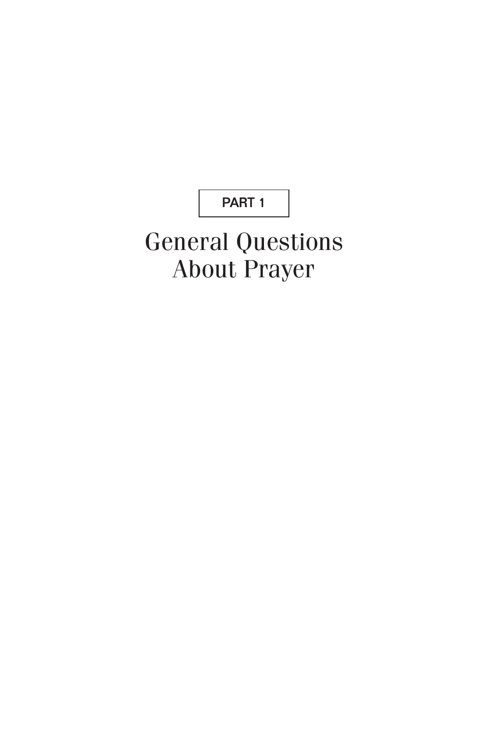PART 1

# General Questions About Prayer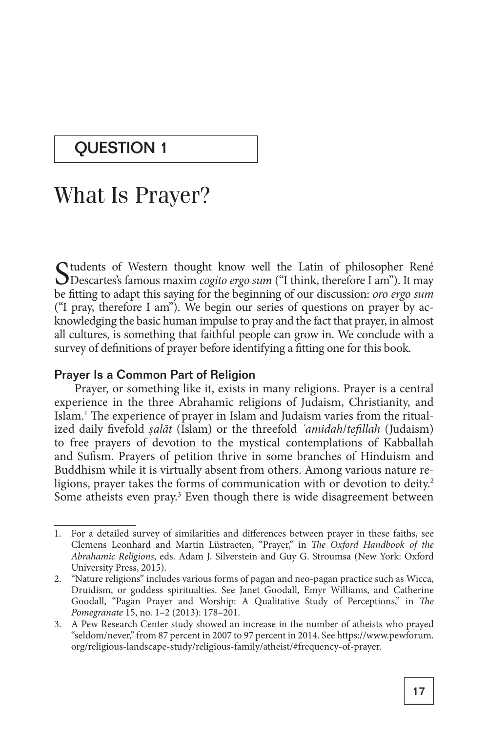### QUESTION 1

### What Is Prayer?

Students of Western thought know well the Latin of philosopher René Descartes's famous maxim *cogito ergo sum* ("I think, therefore I am"). It may be fitting to adapt this saying for the beginning of our discussion: *oro ergo sum* ("I pray, therefore I am"). We begin our series of questions on prayer by acknowledging the basic human impulse to pray and the fact that prayer, in almost all cultures, is something that faithful people can grow in. We conclude with a survey of definitions of prayer before identifying a fitting one for this book.

#### Prayer Is a Common Part of Religion

Prayer, or something like it, exists in many religions. Prayer is a central experience in the three Abrahamic religions of Judaism, Christianity, and Islam.1 The experience of prayer in Islam and Judaism varies from the ritualized daily fivefold *ṣalāt* (Islam) or the threefold *ʿamidah*/*tefillah* (Judaism) to free prayers of devotion to the mystical contemplations of Kabballah and Sufism. Prayers of petition thrive in some branches of Hinduism and Buddhism while it is virtually absent from others. Among various nature religions, prayer takes the forms of communication with or devotion to deity.<sup>2</sup> Some atheists even pray.<sup>3</sup> Even though there is wide disagreement between

<sup>1.</sup> For a detailed survey of similarities and differences between prayer in these faiths, see Clemens Leonhard and Martin Lüstraeten, "Prayer," in *The Oxford Handbook of the Abrahamic Religions*, eds. Adam J. Silverstein and Guy G. Stroumsa (New York: Oxford University Press, 2015).

<sup>2.</sup> "Nature religions" includes various forms of pagan and neo-pagan practice such as Wicca, Druidism, or goddess spiritualties. See Janet Goodall, Emyr Williams, and Catherine Goodall, "Pagan Prayer and Worship: A Qualitative Study of Perceptions," in *The Pomegranate* 15, no. 1–2 (2013): 178–201.

<sup>3.</sup> A Pew Research Center study showed an increase in the number of atheists who prayed "seldom/never," from 87 percent in 2007 to 97 percent in 2014. See https://www.pewforum. org/religious-landscape-study/religious-family/atheist/#frequency-of-prayer.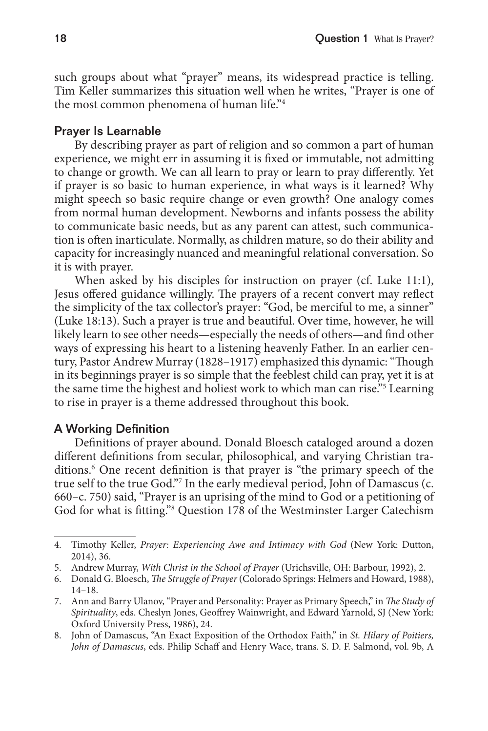such groups about what "prayer" means, its widespread practice is telling. Tim Keller summarizes this situation well when he writes, "Prayer is one of the most common phenomena of human life."4

#### Prayer Is Learnable

By describing prayer as part of religion and so common a part of human experience, we might err in assuming it is fixed or immutable, not admitting to change or growth. We can all learn to pray or learn to pray differently. Yet if prayer is so basic to human experience, in what ways is it learned? Why might speech so basic require change or even growth? One analogy comes from normal human development. Newborns and infants possess the ability to communicate basic needs, but as any parent can attest, such communication is often inarticulate. Normally, as children mature, so do their ability and capacity for increasingly nuanced and meaningful relational conversation. So it is with prayer.

When asked by his disciples for instruction on prayer (cf. Luke 11:1), Jesus offered guidance willingly. The prayers of a recent convert may reflect the simplicity of the tax collector's prayer: "God, be merciful to me, a sinner" (Luke 18:13). Such a prayer is true and beautiful. Over time, however, he will likely learn to see other needs—especially the needs of others—and find other ways of expressing his heart to a listening heavenly Father. In an earlier century, Pastor Andrew Murray (1828–1917) emphasized this dynamic: "Though in its beginnings prayer is so simple that the feeblest child can pray, yet it is at the same time the highest and holiest work to which man can rise."<sup>5</sup> Learning to rise in prayer is a theme addressed throughout this book.

#### A Working Definition

Definitions of prayer abound. Donald Bloesch cataloged around a dozen different definitions from secular, philosophical, and varying Christian traditions.<sup>6</sup> One recent definition is that prayer is "the primary speech of the true self to the true God."7 In the early medieval period, John of Damascus (c. 660–c. 750) said, "Prayer is an uprising of the mind to God or a petitioning of God for what is fitting."<sup>8</sup> Question 178 of the Westminster Larger Catechism

8. John of Damascus, "An Exact Exposition of the Orthodox Faith," in *St. Hilary of Poitiers, John of Damascus*, eds. Philip Schaff and Henry Wace, trans. S. D. F. Salmond, vol. 9b, A

<sup>4.</sup> Timothy Keller, *Prayer: Experiencing Awe and Intimacy with God* (New York: Dutton, 2014), 36.

<sup>5.</sup> Andrew Murray, *With Christ in the School of Prayer* (Urichsville, OH: Barbour, 1992), 2.

<sup>6.</sup> Donald G. Bloesch, *The Struggle of Prayer* (Colorado Springs: Helmers and Howard, 1988), 14–18.

<sup>7.</sup> Ann and Barry Ulanov, "Prayer and Personality: Prayer as Primary Speech," in *The Study of Spirituality*, eds. Cheslyn Jones, Geoffrey Wainwright, and Edward Yarnold, SJ (New York: Oxford University Press, 1986), 24.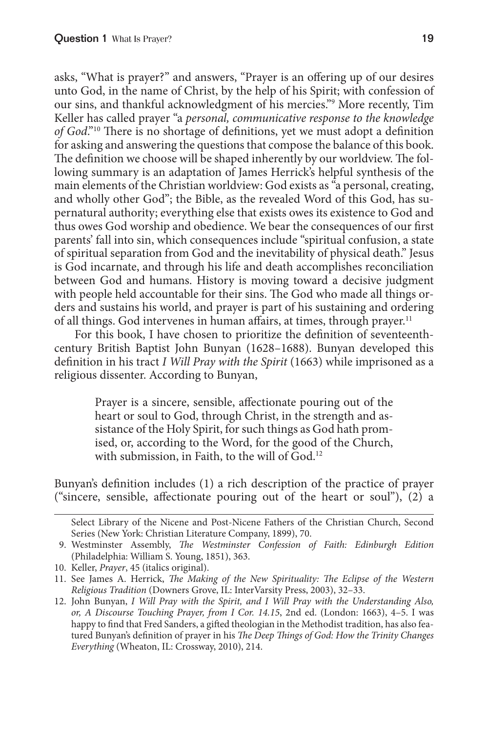asks, "What is prayer?" and answers, "Prayer is an offering up of our desires unto God, in the name of Christ, by the help of his Spirit; with confession of our sins, and thankful acknowledgment of his mercies."9 More recently, Tim Keller has called prayer "a *personal, communicative response to the knowledge of God*."10 There is no shortage of definitions, yet we must adopt a definition for asking and answering the questions that compose the balance of this book. The definition we choose will be shaped inherently by our worldview. The following summary is an adaptation of James Herrick's helpful synthesis of the main elements of the Christian worldview: God exists as "a personal, creating, and wholly other God"; the Bible, as the revealed Word of this God, has supernatural authority; everything else that exists owes its existence to God and thus owes God worship and obedience. We bear the consequences of our first parents' fall into sin, which consequences include "spiritual confusion, a state of spiritual separation from God and the inevitability of physical death." Jesus is God incarnate, and through his life and death accomplishes reconciliation between God and humans. History is moving toward a decisive judgment with people held accountable for their sins. The God who made all things orders and sustains his world, and prayer is part of his sustaining and ordering of all things. God intervenes in human affairs, at times, through prayer.<sup>11</sup>

For this book, I have chosen to prioritize the definition of seventeenthcentury British Baptist John Bunyan (1628–1688). Bunyan developed this definition in his tract *I Will Pray with the Spirit* (1663) while imprisoned as a religious dissenter. According to Bunyan,

> Prayer is a sincere, sensible, affectionate pouring out of the heart or soul to God, through Christ, in the strength and assistance of the Holy Spirit, for such things as God hath promised, or, according to the Word, for the good of the Church, with submission, in Faith, to the will of God.<sup>12</sup>

Bunyan's definition includes (1) a rich description of the practice of prayer ("sincere, sensible, affectionate pouring out of the heart or soul"), (2) a

Select Library of the Nicene and Post-Nicene Fathers of the Christian Church, Second Series (New York: Christian Literature Company, 1899), 70.

10. Keller, *Prayer*, 45 (italics original).

<sup>9.</sup> Westminster Assembly, *The Westminster Confession of Faith: Edinburgh Edition* (Philadelphia: William S. Young, 1851), 363.

<sup>11.</sup> See James A. Herrick, *The Making of the New Spirituality: The Eclipse of the Western Religious Tradition* (Downers Grove, IL: InterVarsity Press, 2003), 32–33.

<sup>12.</sup> John Bunyan, *I Will Pray with the Spirit, and I Will Pray with the Understanding Also, or, A Discourse Touching Prayer, from I Cor. 14.15*, 2nd ed. (London: 1663), 4–5. I was happy to find that Fred Sanders, a gifted theologian in the Methodist tradition, has also featured Bunyan's definition of prayer in his *The Deep Things of God: How the Trinity Changes Everything* (Wheaton, IL: Crossway, 2010), 214.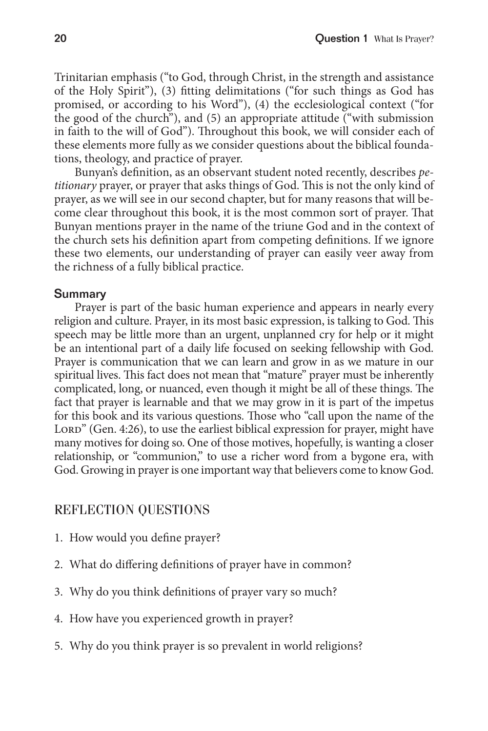Trinitarian emphasis ("to God, through Christ, in the strength and assistance of the Holy Spirit"), (3) fitting delimitations ("for such things as God has promised, or according to his Word"), (4) the ecclesiological context ("for the good of the church"), and (5) an appropriate attitude ("with submission in faith to the will of God"). Throughout this book, we will consider each of these elements more fully as we consider questions about the biblical foundations, theology, and practice of prayer.

Bunyan's definition, as an observant student noted recently, describes *petitionary* prayer, or prayer that asks things of God. This is not the only kind of prayer, as we will see in our second chapter, but for many reasons that will become clear throughout this book, it is the most common sort of prayer. That Bunyan mentions prayer in the name of the triune God and in the context of the church sets his definition apart from competing definitions. If we ignore these two elements, our understanding of prayer can easily veer away from the richness of a fully biblical practice.

#### Summary

Prayer is part of the basic human experience and appears in nearly every religion and culture. Prayer, in its most basic expression, is talking to God. This speech may be little more than an urgent, unplanned cry for help or it might be an intentional part of a daily life focused on seeking fellowship with God. Prayer is communication that we can learn and grow in as we mature in our spiritual lives. This fact does not mean that "mature" prayer must be inherently complicated, long, or nuanced, even though it might be all of these things. The fact that prayer is learnable and that we may grow in it is part of the impetus for this book and its various questions. Those who "call upon the name of the LORD" (Gen. 4:26), to use the earliest biblical expression for prayer, might have many motives for doing so. One of those motives, hopefully, is wanting a closer relationship, or "communion," to use a richer word from a bygone era, with God. Growing in prayer is one important way that believers come to know God.

#### REFLECTION QUESTIONS

- 1. How would you define prayer?
- 2. What do differing definitions of prayer have in common?
- 3. Why do you think definitions of prayer vary so much?
- 4. How have you experienced growth in prayer?
- 5. Why do you think prayer is so prevalent in world religions?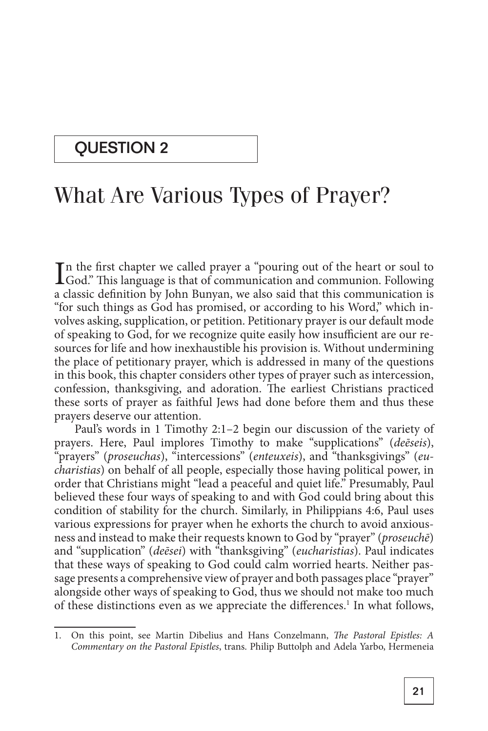### QUESTION 2

### What Are Various Types of Prayer?

In the first chapter we called prayer a "pouring out of the heart or soul to God." This language is that of communication and communion. Following God." This language is that of communication and communion. Following a classic definition by John Bunyan, we also said that this communication is "for such things as God has promised, or according to his Word," which involves asking, supplication, or petition. Petitionary prayer is our default mode of speaking to God, for we recognize quite easily how insufficient are our resources for life and how inexhaustible his provision is. Without undermining the place of petitionary prayer, which is addressed in many of the questions in this book, this chapter considers other types of prayer such as intercession, confession, thanksgiving, and adoration. The earliest Christians practiced these sorts of prayer as faithful Jews had done before them and thus these prayers deserve our attention.

Paul's words in 1 Timothy 2:1–2 begin our discussion of the variety of prayers. Here, Paul implores Timothy to make "supplications" (*deēseis*), "prayers" (*proseuchas*), "intercessions" (*enteuxeis*), and "thanksgivings" (*eucharistias*) on behalf of all people, especially those having political power, in order that Christians might "lead a peaceful and quiet life." Presumably, Paul believed these four ways of speaking to and with God could bring about this condition of stability for the church. Similarly, in Philippians 4:6, Paul uses various expressions for prayer when he exhorts the church to avoid anxiousness and instead to make their requests known to God by "prayer" (*proseuchē*) and "supplication" (*deēsei*) with "thanksgiving" (*eucharistias*). Paul indicates that these ways of speaking to God could calm worried hearts. Neither passage presents a comprehensive view of prayer and both passages place "prayer" alongside other ways of speaking to God, thus we should not make too much of these distinctions even as we appreciate the differences.<sup>1</sup> In what follows,

<sup>1.</sup> On this point, see Martin Dibelius and Hans Conzelmann, *The Pastoral Epistles: A Commentary on the Pastoral Epistles*, trans. Philip Buttolph and Adela Yarbo, Hermeneia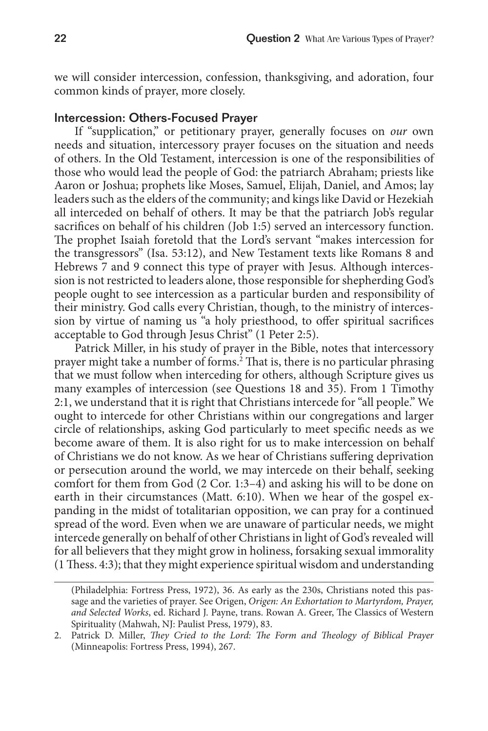we will consider intercession, confession, thanksgiving, and adoration, four common kinds of prayer, more closely.

#### Intercession: Others-Focused Prayer

If "supplication," or petitionary prayer, generally focuses on *our* own needs and situation, intercessory prayer focuses on the situation and needs of others. In the Old Testament, intercession is one of the responsibilities of those who would lead the people of God: the patriarch Abraham; priests like Aaron or Joshua; prophets like Moses, Samuel, Elijah, Daniel, and Amos; lay leaders such as the elders of the community; and kings like David or Hezekiah all interceded on behalf of others. It may be that the patriarch Job's regular sacrifices on behalf of his children (Job 1:5) served an intercessory function. The prophet Isaiah foretold that the Lord's servant "makes intercession for the transgressors" (Isa. 53:12), and New Testament texts like Romans 8 and Hebrews 7 and 9 connect this type of prayer with Jesus. Although intercession is not restricted to leaders alone, those responsible for shepherding God's people ought to see intercession as a particular burden and responsibility of their ministry. God calls every Christian, though, to the ministry of intercession by virtue of naming us "a holy priesthood, to offer spiritual sacrifices acceptable to God through Jesus Christ" (1 Peter 2:5).

Patrick Miller, in his study of prayer in the Bible, notes that intercessory prayer might take a number of forms.<sup>2</sup> That is, there is no particular phrasing that we must follow when interceding for others, although Scripture gives us many examples of intercession (see Questions 18 and 35). From 1 Timothy 2:1, we understand that it is right that Christians intercede for "all people." We ought to intercede for other Christians within our congregations and larger circle of relationships, asking God particularly to meet specific needs as we become aware of them. It is also right for us to make intercession on behalf of Christians we do not know. As we hear of Christians suffering deprivation or persecution around the world, we may intercede on their behalf, seeking comfort for them from God (2 Cor. 1:3–4) and asking his will to be done on earth in their circumstances (Matt. 6:10). When we hear of the gospel expanding in the midst of totalitarian opposition, we can pray for a continued spread of the word. Even when we are unaware of particular needs, we might intercede generally on behalf of other Christians in light of God's revealed will for all believers that they might grow in holiness, forsaking sexual immorality (1 Thess. 4:3); that they might experience spiritual wisdom and understanding

<sup>(</sup>Philadelphia: Fortress Press, 1972), 36. As early as the 230s, Christians noted this passage and the varieties of prayer. See Origen, *Origen: An Exhortation to Martyrdom, Prayer, and Selected Works*, ed. Richard J. Payne, trans. Rowan A. Greer, The Classics of Western Spirituality (Mahwah, NJ: Paulist Press, 1979), 83.

<sup>2.</sup> Patrick D. Miller, *They Cried to the Lord: The Form and Theology of Biblical Prayer* (Minneapolis: Fortress Press, 1994), 267.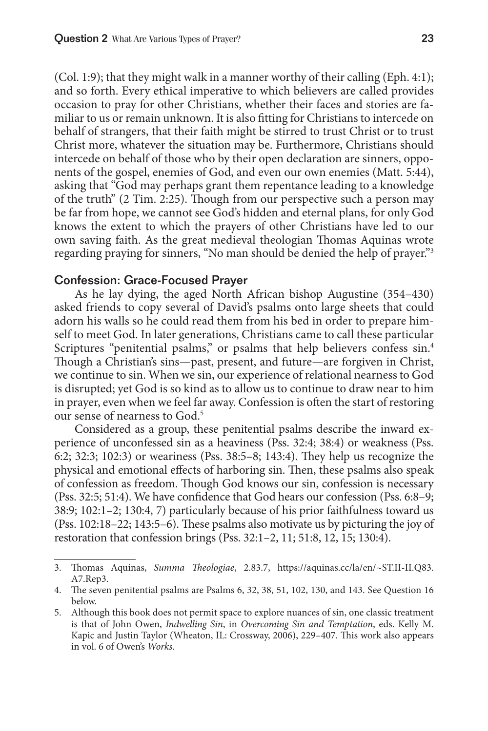(Col. 1:9); that they might walk in a manner worthy of their calling (Eph. 4:1); and so forth. Every ethical imperative to which believers are called provides occasion to pray for other Christians, whether their faces and stories are familiar to us or remain unknown. It is also fitting for Christians to intercede on behalf of strangers, that their faith might be stirred to trust Christ or to trust Christ more, whatever the situation may be. Furthermore, Christians should intercede on behalf of those who by their open declaration are sinners, opponents of the gospel, enemies of God, and even our own enemies (Matt. 5:44), asking that "God may perhaps grant them repentance leading to a knowledge of the truth" (2 Tim. 2:25). Though from our perspective such a person may be far from hope, we cannot see God's hidden and eternal plans, for only God knows the extent to which the prayers of other Christians have led to our own saving faith. As the great medieval theologian Thomas Aquinas wrote regarding praying for sinners, "No man should be denied the help of prayer."3

#### Confession: Grace-Focused Prayer

As he lay dying, the aged North African bishop Augustine (354–430) asked friends to copy several of David's psalms onto large sheets that could adorn his walls so he could read them from his bed in order to prepare himself to meet God. In later generations, Christians came to call these particular Scriptures "penitential psalms," or psalms that help believers confess sin.<sup>4</sup> Though a Christian's sins—past, present, and future—are forgiven in Christ, we continue to sin. When we sin, our experience of relational nearness to God is disrupted; yet God is so kind as to allow us to continue to draw near to him in prayer, even when we feel far away. Confession is often the start of restoring our sense of nearness to God.<sup>5</sup>

Considered as a group, these penitential psalms describe the inward experience of unconfessed sin as a heaviness (Pss. 32:4; 38:4) or weakness (Pss. 6:2; 32:3; 102:3) or weariness (Pss. 38:5–8; 143:4). They help us recognize the physical and emotional effects of harboring sin. Then, these psalms also speak of confession as freedom. Though God knows our sin, confession is necessary (Pss. 32:5; 51:4). We have confidence that God hears our confession (Pss. 6:8–9; 38:9; 102:1–2; 130:4, 7) particularly because of his prior faithfulness toward us (Pss. 102:18–22; 143:5–6). These psalms also motivate us by picturing the joy of restoration that confession brings (Pss. 32:1–2, 11; 51:8, 12, 15; 130:4).

<sup>3.</sup> Thomas Aquinas, *Summa Theologiae*, 2.83.7, https://aquinas.cc/la/en/~ST.II-II.Q83. A7.Rep3.

<sup>4.</sup> The seven penitential psalms are Psalms 6, 32, 38, 51, 102, 130, and 143. See Question 16 below.

<sup>5.</sup> Although this book does not permit space to explore nuances of sin, one classic treatment is that of John Owen, *Indwelling Sin*, in *Overcoming Sin and Temptation*, eds. Kelly M. Kapic and Justin Taylor (Wheaton, IL: Crossway, 2006), 229–407. This work also appears in vol. 6 of Owen's *Works*.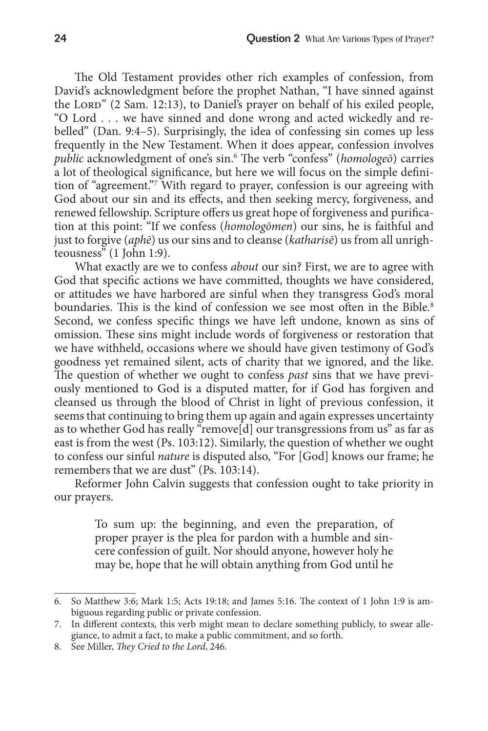The Old Testament provides other rich examples of confession, from David's acknowledgment before the prophet Nathan, "I have sinned against the Lord" (2 Sam. 12:13), to Daniel's prayer on behalf of his exiled people, "O Lord . . . we have sinned and done wrong and acted wickedly and rebelled" (Dan. 9:4–5). Surprisingly, the idea of confessing sin comes up less frequently in the New Testament. When it does appear, confession involves *public* acknowledgment of one's sin.6 The verb "confess" (*homologeō*) carries a lot of theological significance, but here we will focus on the simple definition of "agreement."7 With regard to prayer, confession is our agreeing with God about our sin and its effects, and then seeking mercy, forgiveness, and renewed fellowship. Scripture offers us great hope of forgiveness and purification at this point: "If we confess (*homologōmen*) our sins, he is faithful and just to forgive (*aphē*) us our sins and to cleanse (*katharisē*) us from all unrighteousness" (1 John 1:9).

What exactly are we to confess *about* our sin? First, we are to agree with God that specific actions we have committed, thoughts we have considered, or attitudes we have harbored are sinful when they transgress God's moral boundaries. This is the kind of confession we see most often in the Bible.<sup>8</sup> Second, we confess specific things we have left undone, known as sins of omission. These sins might include words of forgiveness or restoration that we have withheld, occasions where we should have given testimony of God's goodness yet remained silent, acts of charity that we ignored, and the like. The question of whether we ought to confess *past* sins that we have previously mentioned to God is a disputed matter, for if God has forgiven and cleansed us through the blood of Christ in light of previous confession, it seems that continuing to bring them up again and again expresses uncertainty as to whether God has really "remove[d] our transgressions from us" as far as east is from the west (Ps. 103:12). Similarly, the question of whether we ought to confess our sinful *nature* is disputed also, "For [God] knows our frame; he remembers that we are dust" (Ps. 103:14).

Reformer John Calvin suggests that confession ought to take priority in our prayers.

> To sum up: the beginning, and even the preparation, of proper prayer is the plea for pardon with a humble and sincere confession of guilt. Nor should anyone, however holy he may be, hope that he will obtain anything from God until he

<sup>6.</sup> So Matthew 3:6; Mark 1:5; Acts 19:18; and James 5:16. The context of 1 John 1:9 is ambiguous regarding public or private confession.

<sup>7.</sup> In different contexts, this verb might mean to declare something publicly, to swear allegiance, to admit a fact, to make a public commitment, and so forth.

<sup>8.</sup> See Miller, *They Cried to the Lord*, 246.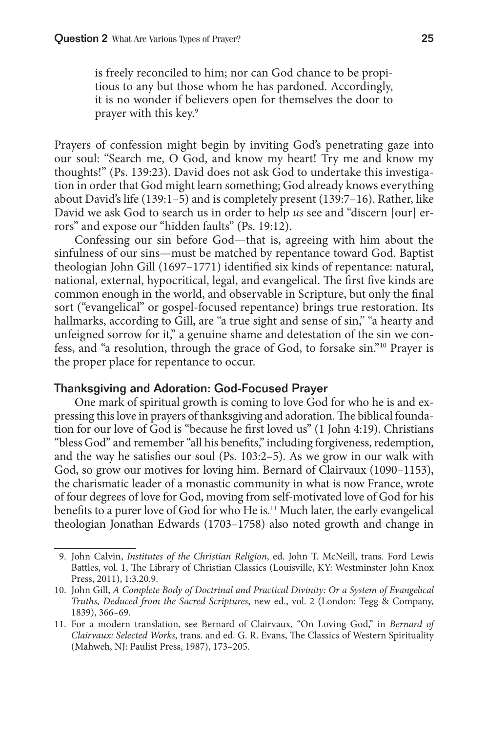is freely reconciled to him; nor can God chance to be propitious to any but those whom he has pardoned. Accordingly, it is no wonder if believers open for themselves the door to prayer with this key.9

Prayers of confession might begin by inviting God's penetrating gaze into our soul: "Search me, O God, and know my heart! Try me and know my thoughts!" (Ps. 139:23). David does not ask God to undertake this investigation in order that God might learn something; God already knows everything about David's life (139:1–5) and is completely present (139:7–16). Rather, like David we ask God to search us in order to help *us* see and "discern [our] errors" and expose our "hidden faults" (Ps. 19:12).

Confessing our sin before God—that is, agreeing with him about the sinfulness of our sins—must be matched by repentance toward God. Baptist theologian John Gill (1697–1771) identified six kinds of repentance: natural, national, external, hypocritical, legal, and evangelical. The first five kinds are common enough in the world, and observable in Scripture, but only the final sort ("evangelical" or gospel-focused repentance) brings true restoration. Its hallmarks, according to Gill, are "a true sight and sense of sin," "a hearty and unfeigned sorrow for it," a genuine shame and detestation of the sin we confess, and "a resolution, through the grace of God, to forsake sin."10 Prayer is the proper place for repentance to occur.

#### Thanksgiving and Adoration: God-Focused Prayer

One mark of spiritual growth is coming to love God for who he is and expressing this love in prayers of thanksgiving and adoration. The biblical foundation for our love of God is "because he first loved us" (1 John 4:19). Christians "bless God" and remember "all his benefits," including forgiveness, redemption, and the way he satisfies our soul (Ps. 103:2–5). As we grow in our walk with God, so grow our motives for loving him. Bernard of Clairvaux (1090–1153), the charismatic leader of a monastic community in what is now France, wrote of four degrees of love for God, moving from self-motivated love of God for his benefits to a purer love of God for who He is.<sup>11</sup> Much later, the early evangelical theologian Jonathan Edwards (1703–1758) also noted growth and change in

<sup>9.</sup> John Calvin, *Institutes of the Christian Religion*, ed. John T. McNeill, trans. Ford Lewis Battles, vol. 1, The Library of Christian Classics (Louisville, KY: Westminster John Knox Press, 2011), 1:3.20.9.

<sup>10.</sup> John Gill, *A Complete Body of Doctrinal and Practical Divinity: Or a System of Evangelical Truths, Deduced from the Sacred Scriptures*, new ed., vol. 2 (London: Tegg & Company, 1839), 366–69.

<sup>11.</sup> For a modern translation, see Bernard of Clairvaux, "On Loving God," in *Bernard of Clairvaux: Selected Works*, trans. and ed. G. R. Evans, The Classics of Western Spirituality (Mahweh, NJ: Paulist Press, 1987), 173–205.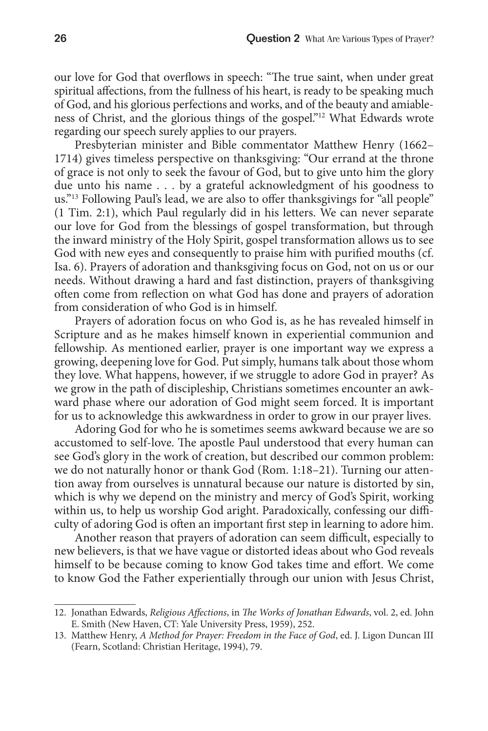our love for God that overflows in speech: "The true saint, when under great spiritual affections, from the fullness of his heart, is ready to be speaking much of God, and his glorious perfections and works, and of the beauty and amiableness of Christ, and the glorious things of the gospel."<sup>12</sup> What Edwards wrote regarding our speech surely applies to our prayers.

Presbyterian minister and Bible commentator Matthew Henry (1662– 1714) gives timeless perspective on thanksgiving: "Our errand at the throne of grace is not only to seek the favour of God, but to give unto him the glory due unto his name . . . by a grateful acknowledgment of his goodness to us."13 Following Paul's lead, we are also to offer thanksgivings for "all people" (1 Tim. 2:1), which Paul regularly did in his letters. We can never separate our love for God from the blessings of gospel transformation, but through the inward ministry of the Holy Spirit, gospel transformation allows us to see God with new eyes and consequently to praise him with purified mouths (cf. Isa. 6). Prayers of adoration and thanksgiving focus on God, not on us or our needs. Without drawing a hard and fast distinction, prayers of thanksgiving often come from reflection on what God has done and prayers of adoration from consideration of who God is in himself.

Prayers of adoration focus on who God is, as he has revealed himself in Scripture and as he makes himself known in experiential communion and fellowship. As mentioned earlier, prayer is one important way we express a growing, deepening love for God. Put simply, humans talk about those whom they love. What happens, however, if we struggle to adore God in prayer? As we grow in the path of discipleship, Christians sometimes encounter an awkward phase where our adoration of God might seem forced. It is important for us to acknowledge this awkwardness in order to grow in our prayer lives.

Adoring God for who he is sometimes seems awkward because we are so accustomed to self-love. The apostle Paul understood that every human can see God's glory in the work of creation, but described our common problem: we do not naturally honor or thank God (Rom. 1:18–21). Turning our attention away from ourselves is unnatural because our nature is distorted by sin, which is why we depend on the ministry and mercy of God's Spirit, working within us, to help us worship God aright. Paradoxically, confessing our difficulty of adoring God is often an important first step in learning to adore him.

Another reason that prayers of adoration can seem difficult, especially to new believers, is that we have vague or distorted ideas about who God reveals himself to be because coming to know God takes time and effort. We come to know God the Father experientially through our union with Jesus Christ,

<sup>12.</sup> Jonathan Edwards, *Religious Affections*, in *The Works of Jonathan Edwards*, vol. 2, ed. John E. Smith (New Haven, CT: Yale University Press, 1959), 252.

<sup>13.</sup> Matthew Henry, *A Method for Prayer: Freedom in the Face of God*, ed. J. Ligon Duncan III (Fearn, Scotland: Christian Heritage, 1994), 79.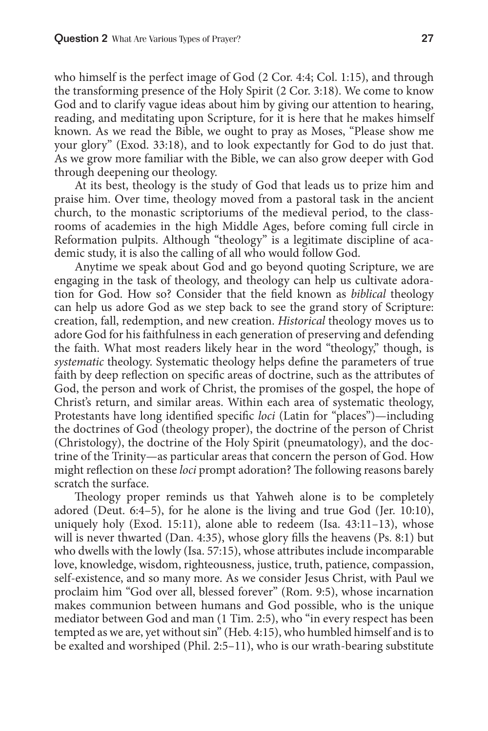who himself is the perfect image of God (2 Cor. 4:4; Col. 1:15), and through the transforming presence of the Holy Spirit (2 Cor. 3:18). We come to know God and to clarify vague ideas about him by giving our attention to hearing, reading, and meditating upon Scripture, for it is here that he makes himself known. As we read the Bible, we ought to pray as Moses, "Please show me your glory" (Exod. 33:18), and to look expectantly for God to do just that. As we grow more familiar with the Bible, we can also grow deeper with God through deepening our theology.

At its best, theology is the study of God that leads us to prize him and praise him. Over time, theology moved from a pastoral task in the ancient church, to the monastic scriptoriums of the medieval period, to the classrooms of academies in the high Middle Ages, before coming full circle in Reformation pulpits. Although "theology" is a legitimate discipline of academic study, it is also the calling of all who would follow God.

Anytime we speak about God and go beyond quoting Scripture, we are engaging in the task of theology, and theology can help us cultivate adoration for God. How so? Consider that the field known as *biblical* theology can help us adore God as we step back to see the grand story of Scripture: creation, fall, redemption, and new creation. *Historical* theology moves us to adore God for his faithfulness in each generation of preserving and defending the faith. What most readers likely hear in the word "theology," though, is *systematic* theology. Systematic theology helps define the parameters of true faith by deep reflection on specific areas of doctrine, such as the attributes of God, the person and work of Christ, the promises of the gospel, the hope of Christ's return, and similar areas. Within each area of systematic theology, Protestants have long identified specific *loci* (Latin for "places")—including the doctrines of God (theology proper), the doctrine of the person of Christ (Christology), the doctrine of the Holy Spirit (pneumatology), and the doctrine of the Trinity—as particular areas that concern the person of God. How might reflection on these *loci* prompt adoration? The following reasons barely scratch the surface.

Theology proper reminds us that Yahweh alone is to be completely adored (Deut. 6:4–5), for he alone is the living and true God (Jer. 10:10), uniquely holy (Exod. 15:11), alone able to redeem (Isa. 43:11–13), whose will is never thwarted (Dan. 4:35), whose glory fills the heavens (Ps. 8:1) but who dwells with the lowly (Isa. 57:15), whose attributes include incomparable love, knowledge, wisdom, righteousness, justice, truth, patience, compassion, self-existence, and so many more. As we consider Jesus Christ, with Paul we proclaim him "God over all, blessed forever" (Rom. 9:5), whose incarnation makes communion between humans and God possible, who is the unique mediator between God and man (1 Tim. 2:5), who "in every respect has been tempted as we are, yet without sin" (Heb. 4:15), who humbled himself and is to be exalted and worshiped (Phil. 2:5–11), who is our wrath-bearing substitute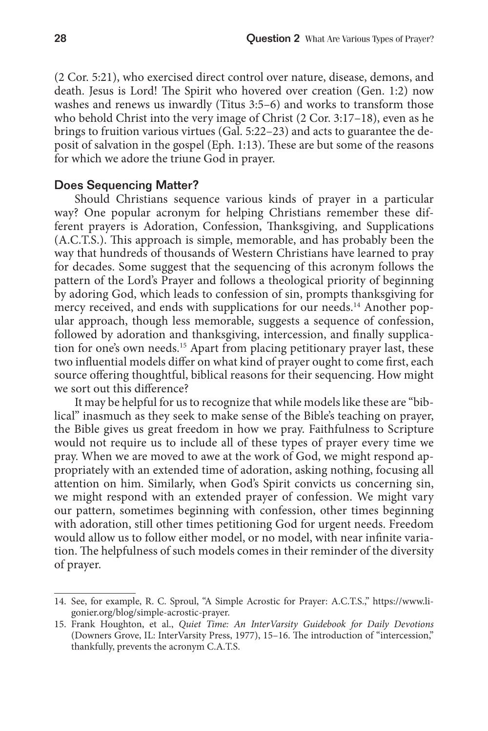(2 Cor. 5:21), who exercised direct control over nature, disease, demons, and death. Jesus is Lord! The Spirit who hovered over creation (Gen. 1:2) now washes and renews us inwardly (Titus 3:5–6) and works to transform those who behold Christ into the very image of Christ (2 Cor. 3:17–18), even as he brings to fruition various virtues (Gal. 5:22–23) and acts to guarantee the deposit of salvation in the gospel (Eph. 1:13). These are but some of the reasons for which we adore the triune God in prayer.

#### Does Sequencing Matter?

Should Christians sequence various kinds of prayer in a particular way? One popular acronym for helping Christians remember these different prayers is Adoration, Confession, Thanksgiving, and Supplications (A.C.T.S.). This approach is simple, memorable, and has probably been the way that hundreds of thousands of Western Christians have learned to pray for decades. Some suggest that the sequencing of this acronym follows the pattern of the Lord's Prayer and follows a theological priority of beginning by adoring God, which leads to confession of sin, prompts thanksgiving for mercy received, and ends with supplications for our needs.<sup>14</sup> Another popular approach, though less memorable, suggests a sequence of confession, followed by adoration and thanksgiving, intercession, and finally supplication for one's own needs.<sup>15</sup> Apart from placing petitionary prayer last, these two influential models differ on what kind of prayer ought to come first, each source offering thoughtful, biblical reasons for their sequencing. How might we sort out this difference?

It may be helpful for us to recognize that while models like these are "biblical" inasmuch as they seek to make sense of the Bible's teaching on prayer, the Bible gives us great freedom in how we pray. Faithfulness to Scripture would not require us to include all of these types of prayer every time we pray. When we are moved to awe at the work of God, we might respond appropriately with an extended time of adoration, asking nothing, focusing all attention on him. Similarly, when God's Spirit convicts us concerning sin, we might respond with an extended prayer of confession. We might vary our pattern, sometimes beginning with confession, other times beginning with adoration, still other times petitioning God for urgent needs. Freedom would allow us to follow either model, or no model, with near infinite variation. The helpfulness of such models comes in their reminder of the diversity of prayer.

<sup>14.</sup> See, for example, R. C. Sproul, "A Simple Acrostic for Prayer: A.C.T.S.," https://www.ligonier.org/blog/simple-acrostic-prayer.

<sup>15.</sup> Frank Houghton, et al., *Quiet Time: An InterVarsity Guidebook for Daily Devotions* (Downers Grove, IL: InterVarsity Press, 1977), 15–16. The introduction of "intercession," thankfully, prevents the acronym C.A.T.S.